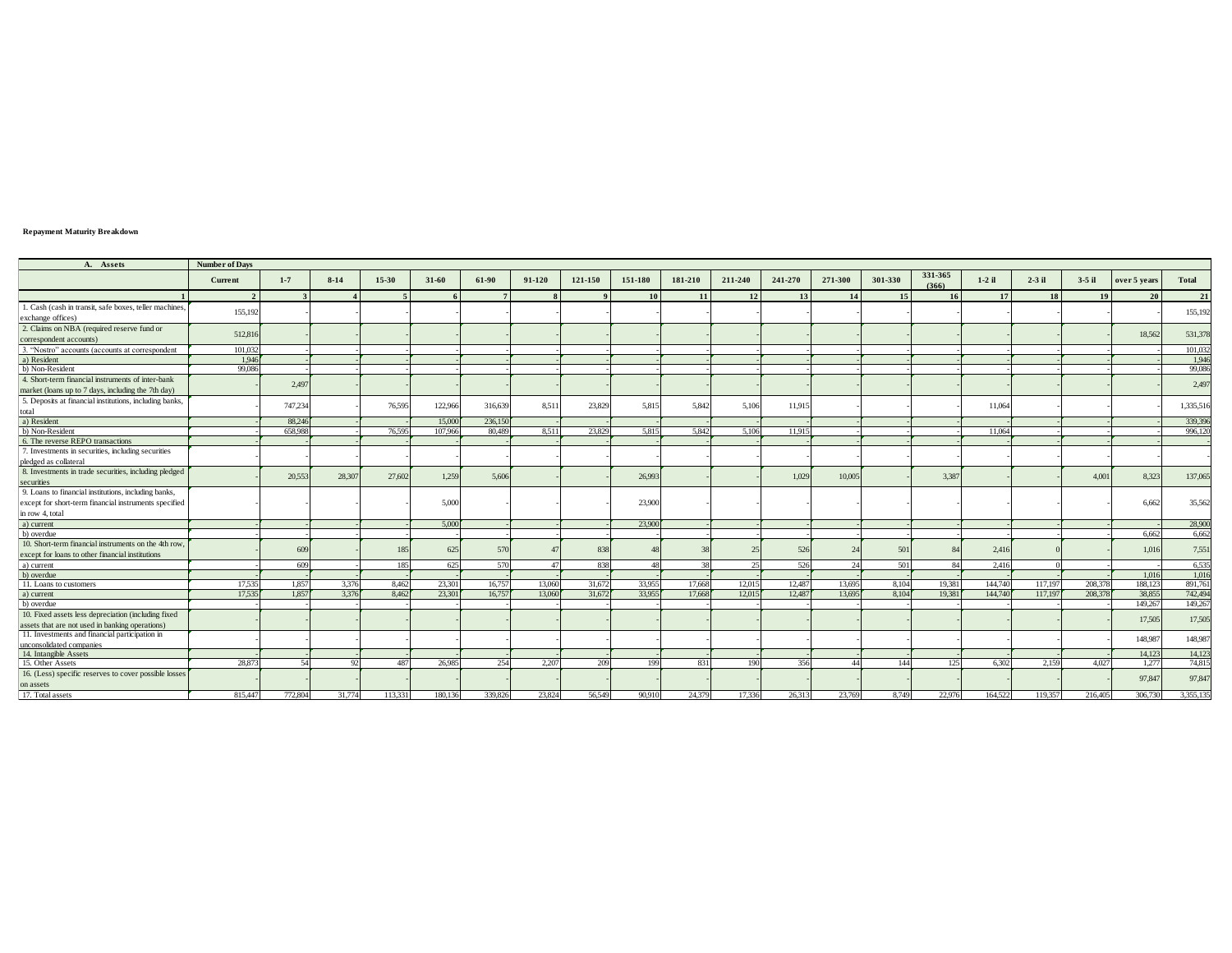## **Repayment Maturity Breakdown**

| A. Assets                                                          | <b>Number of Days</b>   |              |          |         |         |                 |        |         |         |           |         |                 |         |                 |                  |          |           |                 |              |              |
|--------------------------------------------------------------------|-------------------------|--------------|----------|---------|---------|-----------------|--------|---------|---------|-----------|---------|-----------------|---------|-----------------|------------------|----------|-----------|-----------------|--------------|--------------|
|                                                                    | Current                 | $1 - 7$      | $8-14$   | 15-30   | 31-60   | 61-90           | 91-120 | 121-150 | 151-180 | 181-210   | 211-240 | 241-270         | 271-300 | 301-330         | 331-365<br>(366) | $1-2$ il | $2-3$ il  | $3-5$ il        | over 5 years | <b>Total</b> |
|                                                                    | $\overline{\mathbf{c}}$ | $\mathbf{R}$ |          |         |         | $7\overline{ }$ |        |         | 10      | <b>11</b> | 12      | 13 <sup>1</sup> | 14      | 15 <sup>1</sup> | 16               | 17       | <b>18</b> | 19 <sup>1</sup> | 20           | 21           |
| 1. Cash (cash in transit, safe boxes, teller machines,             |                         |              |          |         |         |                 |        |         |         |           |         |                 |         |                 |                  |          |           |                 |              |              |
| exchange offices)                                                  | 155.192                 |              |          |         |         |                 |        |         |         |           |         |                 |         |                 |                  |          |           |                 |              | 155,192      |
| 2. Claims on NBA (required reserve fund or                         |                         |              |          |         |         |                 |        |         |         |           |         |                 |         |                 |                  |          |           |                 |              |              |
| correspondent accounts)                                            | 512,816                 |              |          |         |         |                 |        |         |         |           |         |                 |         |                 |                  |          |           |                 | 18.562       | 531,378      |
| 3. "Nostro" accounts (accounts at correspondent                    | 101.032                 |              |          |         |         |                 |        |         |         |           |         |                 |         |                 |                  |          |           |                 |              | 101,032      |
| a) Resident                                                        | 1.946                   |              |          |         |         |                 |        |         |         |           |         |                 |         |                 |                  |          |           |                 |              | 1,946        |
| b) Non-Resident                                                    | 99.086                  |              |          |         |         |                 |        |         |         |           |         |                 |         |                 |                  |          |           |                 |              | 99,086       |
| 4. Short-term financial instruments of inter-bank                  |                         | 2,497        |          |         |         |                 |        |         |         |           |         |                 |         |                 |                  |          |           |                 |              | 2,497        |
| market (loans up to 7 days, including the 7th day)                 |                         |              |          |         |         |                 |        |         |         |           |         |                 |         |                 |                  |          |           |                 |              |              |
| 5. Deposits at financial institutions, including banks,            |                         | 747.234      |          | 76,595  | 122,966 | 316,639         | 8.511  | 23,829  | 5.815   | 5.842     | 5.106   | 11,915          |         |                 |                  | 11.064   |           |                 |              | 1,335,516    |
| total                                                              |                         |              |          |         |         |                 |        |         |         |           |         |                 |         |                 |                  |          |           |                 |              |              |
| a) Resident                                                        |                         | 88,246       |          |         | 15,000  | 236,150         |        |         |         |           |         |                 |         |                 |                  |          |           |                 |              | 339,396      |
| b) Non-Resident                                                    |                         | 658,988      |          | 76,595  | 107,966 | 80,489          | 8.511  | 23,829  | 5.815   | 5.842     | 5.106   | 11.915          |         |                 |                  | 11,064   |           |                 |              | 996,120      |
| 6. The reverse REPO transactions                                   |                         |              |          |         |         |                 |        |         |         |           |         |                 |         |                 |                  |          |           |                 |              |              |
| 7. Investments in securities, including securities                 |                         |              |          |         |         |                 |        |         |         |           |         |                 |         |                 |                  |          |           |                 |              |              |
| pledged as collateral                                              |                         |              |          |         |         |                 |        |         |         |           |         |                 |         |                 |                  |          |           |                 |              |              |
| 8. Investments in trade securities, including pledged              |                         | 20.553       | 28,307   | 27,602  | 1.259   | 5.606           |        |         | 26,993  |           |         | 1.029           | 10,005  |                 | 3.387            |          |           | 4.001           | 8.323        | 137,065      |
| securities                                                         |                         |              |          |         |         |                 |        |         |         |           |         |                 |         |                 |                  |          |           |                 |              |              |
| 9. Loans to financial institutions, including banks,               |                         |              |          |         |         |                 |        |         |         |           |         |                 |         |                 |                  |          |           |                 |              |              |
| except for short-term financial instruments specified              |                         |              |          |         | 5,000   |                 |        |         | 23,900  |           |         |                 |         |                 |                  |          |           |                 | 6.662        | 35,562       |
| in row 4, total                                                    |                         |              |          |         |         |                 |        |         |         |           |         |                 |         |                 |                  |          |           |                 |              |              |
| a) current                                                         |                         |              |          |         | 5.000   |                 |        |         | 23,900  |           |         |                 |         |                 |                  |          |           |                 |              | 28,900       |
| b) overdue                                                         |                         |              |          |         |         |                 |        |         |         |           |         |                 |         |                 |                  |          |           |                 | 6.662        | 6.662        |
| 10. Short-term financial instruments on the 4th row                |                         | 609          |          |         | 625     | 570             |        | 838     |         |           |         | 526             |         | 501             |                  | 2,416    |           |                 | 1.016        | 7,551        |
| except for loans to other financial institutions                   |                         |              |          |         |         |                 |        |         |         |           |         |                 |         |                 |                  |          |           |                 |              |              |
| a) current                                                         |                         | 609          |          | 185     | 625     | 570             | 47     | 838     | 48      |           | 25      | 526             | 24      | 501             | 84               | 2,416    |           |                 |              | 6,535        |
| b) overdue                                                         |                         |              |          |         |         |                 |        |         |         |           |         |                 |         |                 |                  |          |           |                 | 1.016        | 1,016        |
| 11. Loans to customers                                             | 17.535                  | 1.857        | 3.376    | 8.462   | 23,301  | 16,757          | 13,060 | 31,672  | 33,955  | 17,668    | 12,015  | 12,487          | 13,695  | 8.104           | 19.381           | 144,740  | 117,197   | 208,378         | 188,123      | 891,761      |
| a) current                                                         | 17.535                  | 1.857        | 3.376    | 8.462   | 23.301  | 16,757          | 13.060 | 31,672  | 33.955  | 17,668    | 12.015  | 12.487          | 13,695  | 8.104           | 19.381           | 144,740  | 117,197   | 208.378         | 38,855       | 742,494      |
| b) overdue                                                         |                         |              |          |         |         |                 |        |         |         |           |         |                 |         |                 |                  |          |           |                 | 149,267      | 149,267      |
| 10. Fixed assets less depreciation (including fixed                |                         |              |          |         |         |                 |        |         |         |           |         |                 |         |                 |                  |          |           |                 | 17,505       | 17,505       |
| assets that are not used in banking operations)                    |                         |              |          |         |         |                 |        |         |         |           |         |                 |         |                 |                  |          |           |                 |              |              |
| 11. Investments and financial participation in                     |                         |              |          |         |         |                 |        |         |         |           |         |                 |         |                 |                  |          |           |                 | 148,987      | 148,987      |
| unconsolidated companies                                           |                         |              |          |         |         |                 |        |         |         |           |         |                 |         |                 |                  |          |           |                 |              |              |
| 14. Intangible Assets                                              | 28,873                  | 54           | <u>ന</u> |         |         | 254             | 2.207  | 209     |         |           |         | 356             | 44      | 144             | 125              | 6.302    | 2.159     |                 | 14,123       | 14,123       |
| 15. Other Assets                                                   |                         |              |          | 487     | 26,985  |                 |        |         | 199     | 831       | 190     |                 |         |                 |                  |          |           | 4.027           | 1.277        | 74,815       |
| 16. (Less) specific reserves to cover possible losses<br>on assets |                         |              |          |         |         |                 |        |         |         |           |         |                 |         |                 |                  |          |           |                 | 97,847       | 97,847       |
| 17. Total assets                                                   | 815.447                 | 772.804      | 31.774   | 113.331 | 180.136 | 339.826         | 23.824 | 56.549  | 90.910  | 24.379    | 17.336  | 26.313          | 23.769  | 8.749           | 22.976           | 164.522  | 119.357   | 216.405         | 306.730      | 3.355.135    |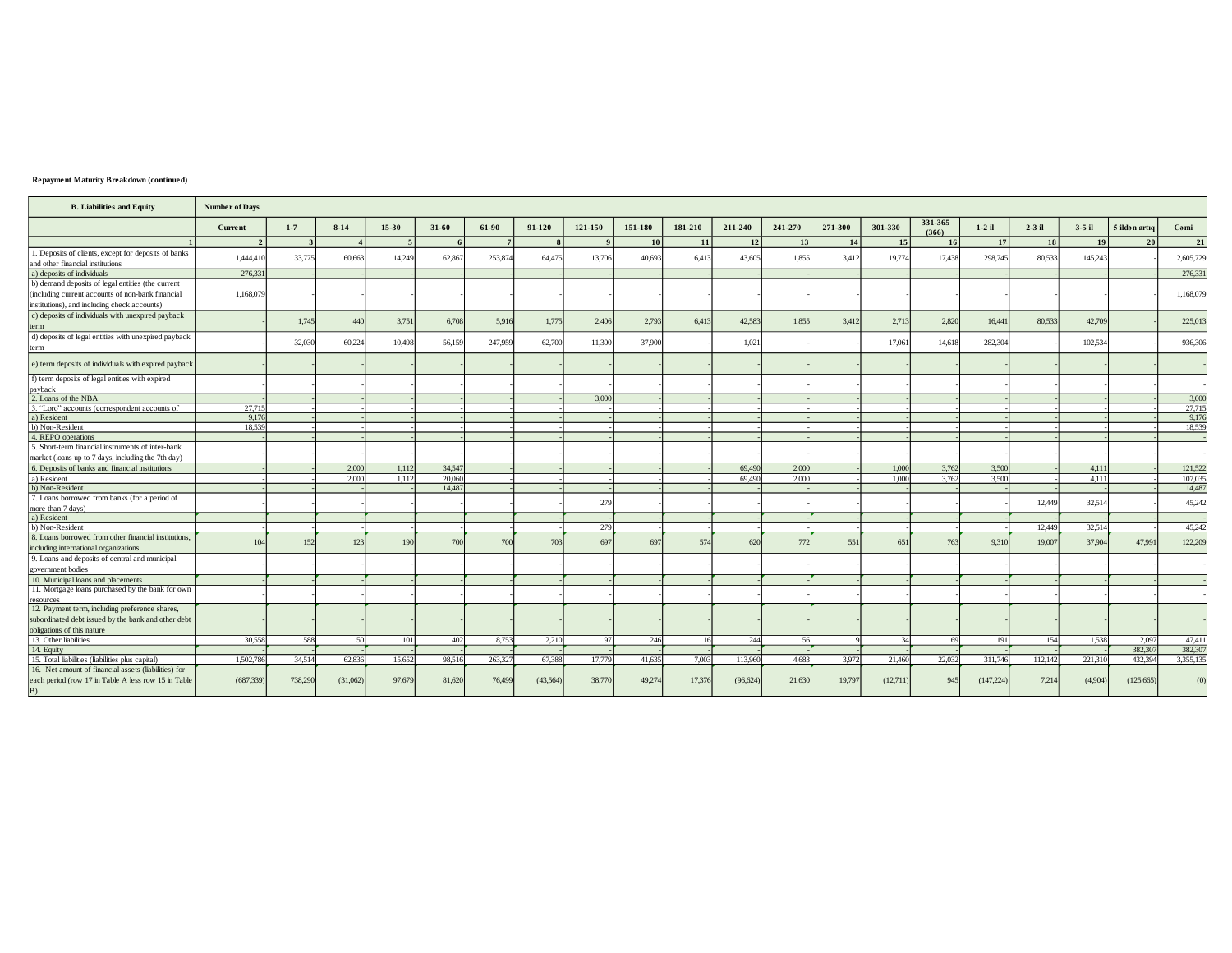## Repayment Maturity Breakdown (continued)

| <b>B.</b> Liabilities and Equity                                                                                  | <b>Number of Days</b> |              |          |           |        |         |          |         |           |         |           |         |         |          |                  |            |           |          |               |                   |
|-------------------------------------------------------------------------------------------------------------------|-----------------------|--------------|----------|-----------|--------|---------|----------|---------|-----------|---------|-----------|---------|---------|----------|------------------|------------|-----------|----------|---------------|-------------------|
|                                                                                                                   | Current               | $1 - 7$      | $8-14$   | $15 - 30$ | 31-60  | 61-90   | 91-120   | 121-150 | 151-180   | 181-210 | 211-240   | 241-270 | 271-300 | 301-330  | 331-365<br>(366) | $1-2$ il   | $2-3$ il  | $3-5$ il | 5 ildən artıq | Cami              |
|                                                                                                                   | $\mathcal{L}$         | $\mathbf{3}$ |          | -5        |        |         |          |         | <b>10</b> | 11      | 12        | 13      | 14      | 15       | <b>16</b>        | 17         | <b>18</b> | 19       | 20            | 21                |
| 1. Deposits of clients, except for deposits of banks                                                              | 1,444,410             | 33,775       | 60,663   | 14,249    | 62,867 | 253,874 | 64,475   | 13,706  | 40,693    | 6,413   | 43,605    | 1,855   | 3,412   | 19,774   | 17,438           | 298,745    | 80,533    | 145,243  |               | 2,605,72          |
| and other financial institutions                                                                                  |                       |              |          |           |        |         |          |         |           |         |           |         |         |          |                  |            |           |          |               |                   |
| a) deposits of individuals                                                                                        | 276.331               |              |          |           |        |         |          |         |           |         |           |         |         |          |                  |            |           |          |               | 276,33            |
| b) demand deposits of legal entities (the current                                                                 |                       |              |          |           |        |         |          |         |           |         |           |         |         |          |                  |            |           |          |               |                   |
| including current accounts of non-bank financial                                                                  | 1.168,079             |              |          |           |        |         |          |         |           |         |           |         |         |          |                  |            |           |          |               | 1.168,079         |
| institutions), and including check accounts)                                                                      |                       |              |          |           |        |         |          |         |           |         |           |         |         |          |                  |            |           |          |               |                   |
| c) deposits of individuals with unexpired payback                                                                 |                       |              |          |           |        |         |          |         |           |         |           |         |         |          |                  |            |           |          |               |                   |
|                                                                                                                   |                       | 1,745        | 440      | 3,751     | 6,708  | 5.916   | 1,775    | 2,406   | 2,793     | 6,413   | 42,583    | 1,855   | 3,412   | 2,713    | 2,820            | 16,441     | 80,533    | 42,709   |               | 225,013           |
| d) deposits of legal entities with unexpired payback                                                              |                       |              |          |           |        |         |          |         |           |         |           |         |         |          |                  |            |           |          |               |                   |
| erm                                                                                                               |                       | 32,030       | 60,224   | 10,498    | 56,159 | 247,959 | 62,700   | 11,300  | 37,900    |         | 1,021     |         |         | 17,061   | 14,618           | 282.304    |           | 102.534  |               | 936,30            |
|                                                                                                                   |                       |              |          |           |        |         |          |         |           |         |           |         |         |          |                  |            |           |          |               |                   |
| e) term deposits of individuals with expired payback                                                              |                       |              |          |           |        |         |          |         |           |         |           |         |         |          |                  |            |           |          |               |                   |
| f) term deposits of legal entities with expired                                                                   |                       |              |          |           |        |         |          |         |           |         |           |         |         |          |                  |            |           |          |               |                   |
| payback                                                                                                           |                       |              |          |           |        |         |          |         |           |         |           |         |         |          |                  |            |           |          |               |                   |
| 2. Loans of the NBA                                                                                               |                       |              |          |           |        |         |          | 3.000   |           |         |           |         |         |          |                  |            |           |          |               | 3,00              |
| 3. "Loro" accounts (correspondent accounts of                                                                     | 27,715                |              |          |           |        |         |          |         |           |         |           |         |         |          |                  |            |           |          |               | $\frac{27,71}{3}$ |
| a) Resident                                                                                                       | 9.176                 |              |          |           |        |         |          |         |           |         |           |         |         |          |                  |            |           |          |               | 9,17              |
| b) Non-Resident                                                                                                   | 18.539                |              |          |           |        |         |          |         |           |         |           |         |         |          |                  |            |           |          |               | 18,53             |
| 4. REPO operations                                                                                                |                       |              |          |           |        |         |          |         |           |         |           |         |         |          |                  |            |           |          |               |                   |
| 5. Short-term financial instruments of inter-bank                                                                 |                       |              |          |           |        |         |          |         |           |         |           |         |         |          |                  |            |           |          |               |                   |
| market (loans up to 7 days, including the 7th day)                                                                |                       |              |          |           |        |         |          |         |           |         |           |         |         |          |                  |            |           |          |               |                   |
| 6. Deposits of banks and financial institutions                                                                   |                       |              | 2,000    | 1,112     | 34,547 |         |          |         |           |         | 69,490    | 2,000   |         | 1,000    | 3,762            | 3.500      |           | 4.111    |               | 121,52            |
| a) Resident                                                                                                       |                       |              | 2,000    | 1,112     | 20,060 |         |          |         |           |         | 69,490    | 2.000   |         | 1,000    | 3.762            | 3.500      |           | 4,111    |               | 107,03            |
| b) Non-Resident                                                                                                   |                       |              |          |           | 14,487 |         |          |         |           |         |           |         |         |          |                  |            |           |          |               | 14,48             |
| 7. Loans borrowed from banks (for a period of                                                                     |                       |              |          |           |        |         |          | 279     |           |         |           |         |         |          |                  |            | 12,449    | 32,514   |               | 45,24             |
| more than 7 days)                                                                                                 |                       |              |          |           |        |         |          |         |           |         |           |         |         |          |                  |            |           |          |               |                   |
| a) Resident                                                                                                       |                       |              |          |           |        |         |          |         |           |         |           |         |         |          |                  |            |           |          |               |                   |
| b) Non-Resident                                                                                                   |                       |              |          |           |        |         |          | 279     |           |         |           |         |         |          |                  |            | 12,449    | 32,514   |               | 45,24             |
| 8. Loans borrowed from other financial institutions,                                                              | 104                   | 152          | 123      | 190       | 700    | 700     | 703      | 697     | 697       | 574     | 620       | 772     | 551     | 65       | 763              | 9,310      | 19,007    | 37,904   | 47.991        | 122,20            |
| including international organizations                                                                             |                       |              |          |           |        |         |          |         |           |         |           |         |         |          |                  |            |           |          |               |                   |
| 9. Loans and deposits of central and municipal                                                                    |                       |              |          |           |        |         |          |         |           |         |           |         |         |          |                  |            |           |          |               |                   |
| government bodies                                                                                                 |                       |              |          |           |        |         |          |         |           |         |           |         |         |          |                  |            |           |          |               |                   |
| 10. Municipal loans and placements                                                                                |                       |              |          |           |        |         |          |         |           |         |           |         |         |          |                  |            |           |          |               |                   |
| 11. Mortgage loans purchased by the bank for own                                                                  |                       |              |          |           |        |         |          |         |           |         |           |         |         |          |                  |            |           |          |               |                   |
| resources                                                                                                         |                       |              |          |           |        |         |          |         |           |         |           |         |         |          |                  |            |           |          |               |                   |
| 12. Payment term, including preference shares,                                                                    |                       |              |          |           |        |         |          |         |           |         |           |         |         |          |                  |            |           |          |               |                   |
| subordinated debt issued by the bank and other debt                                                               |                       |              |          |           |        |         |          |         |           |         |           |         |         |          |                  |            |           |          |               |                   |
| obligations of this nature                                                                                        |                       |              |          |           |        |         |          |         |           |         |           |         |         |          |                  |            |           |          |               |                   |
| 13. Other liabilities                                                                                             | 30.558                | 588          | 50       | 101       | 402    | 8.753   | 2.210    | 97      | 246       | 16      | 244       | 56      |         | 34       | 69               | 191        | 154       | 1,538    | 2,097         | 47,41             |
| 14. Equity                                                                                                        |                       |              |          |           |        |         |          |         |           |         |           |         |         |          |                  |            |           |          | 382,307       | 382,30            |
| 15. Total liabilities (liabilities plus capital)                                                                  | 1.502.786             | 34.514       | 62.836   | 15.652    | 98.516 | 263,327 | 67.388   | 17,779  | 41.635    | 7,003   | 113,960   | 4.683   | 3,972   | 21.460   | 22,032           | 311,746    | 112.142   | 221,310  | 432.394       | 3.355.13          |
| 16. Net amount of financial assets (liabilities) for<br>each period (row 17 in Table A less row 15 in Table<br>B) | (687, 339)            | 738,290      | (31,062) | 97,679    | 81,620 | 76,499  | (43,564) | 38,770  | 49,274    | 17.376  | (96, 624) | 21,630  | 19,79   | (12,711) | 945              | (147, 224) | 7.214     | (4.904)  | (125,665)     | (0)               |